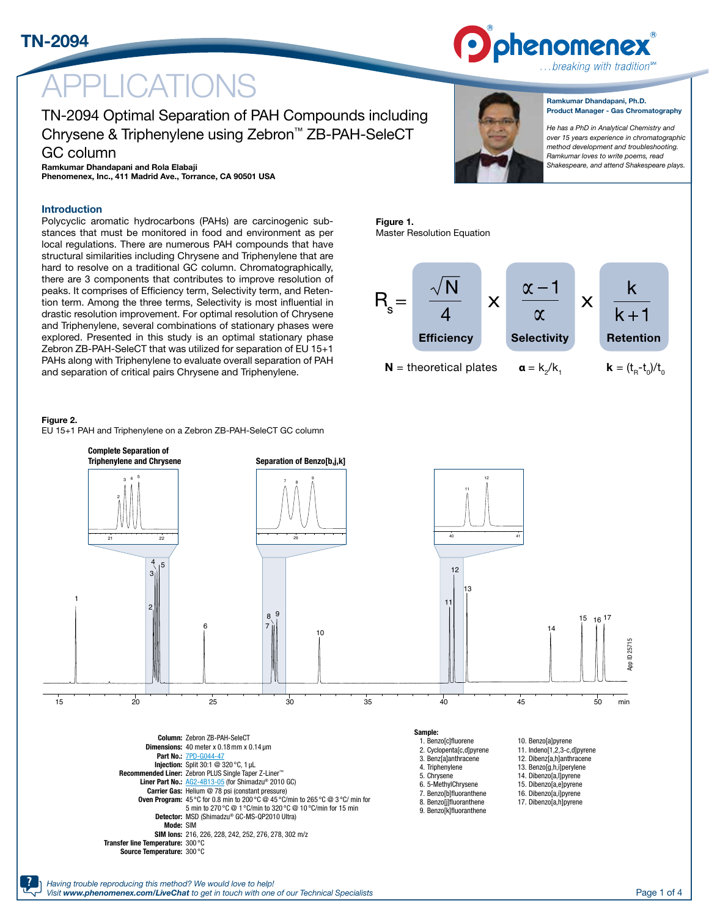TN-2094



Efficiency Selectivity Retention

 $\boldsymbol{\mathsf{X}}$ 

**N** = theoretical plates  $\alpha = k_z/k$ ,  $k = (t_e - t_o)/t_o$ 

# LICATIONS

### [TN-2094](http://www.phenomenex.com/products/part/TN-2094?utm_campaign=digital_collateral&utm_source=TN-2094&utm_medium=url&utm_content=partnumber) Optimal Separation of PAH Compounds including Chrysene & Triphenylene using Zebron™ ZB-PAH-SeleCT GC column

 $\mathsf{X}$ 

Figure 1.

 $R_{\circ} =$ 

Master Resolution Equation

#### Ramkumar Dhandapani, Ph.D. Product Manager - Gas Chromatography

*He has a PhD in Analytical Chemistry and over 15 years experience in chromatographic method development and troubleshooting. Ramkumar loves to write poems, read Shakespeare, and attend Shakespeare plays.*

#### Ramkumar Dhandapani and Rola Elabaji Phenomenex, Inc., 411 Madrid Ave., Torrance, CA 90501 USA

### Introduction

Polycyclic aromatic hydrocarbons (PAHs) are carcinogenic substances that must be monitored in food and environment as per local regulations. There are numerous PAH compounds that have structural similarities including Chrysene and Triphenylene that are hard to resolve on a traditional GC column. Chromatographically, there are 3 components that contributes to improve resolution of peaks. It comprises of Efficiency term, Selectivity term, and Retention term. Among the three terms, Selectivity is most influential in drastic resolution improvement. For optimal resolution of Chrysene and Triphenylene, several combinations of stationary phases were explored. Presented in this study is an optimal stationary phase Zebron ZB-PAH-SeleCT that was utilized for separation of EU 15+1 PAHs along with Triphenylene to evaluate overall separation of PAH and separation of critical pairs Chrysene and Triphenylene.

#### Figure 2.

EU 15+1 PAH and Triphenylene on a Zebron ZB-PAH-SeleCT GC column

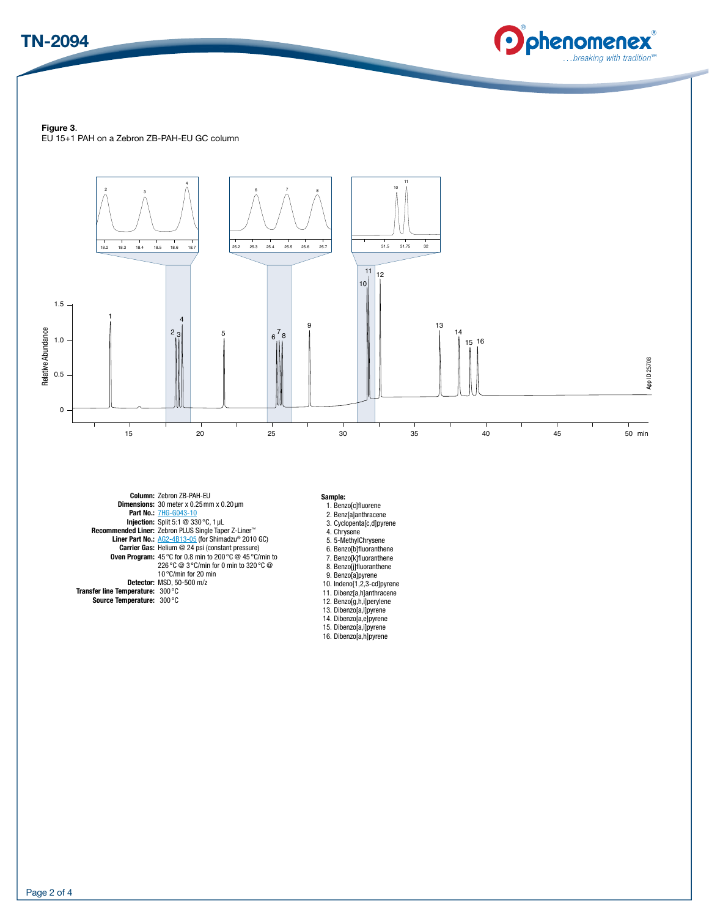



#### Figure 3.

EU 15+1 PAH on a Zebron ZB-PAH-EU GC column



Column: Zebron ZB-PAH-EU Dimensions: 30 meter x 0.25mm x 0.20 µm Part No.: [7HG-G043-10](http://www.phenomenex.com/products/part/7HG-G043-10?utm_campaign=digital_collateral&utm_source=TN-2094&utm_medium=url&utm_content=partnumber) Injection: Split 5:1 @ 330 °C, 1 μL Recommended Liner: Zebron PLUS Single Taper Z-Liner™<br>Liner Part No.: <u>AG2-4B13-05</u> (for Shimadzu® 2010 GC)<br>Carrier Gas: Helium @ 24 psi (constant pressure) **Oven Program:** 45 °C for 0.8 min to 200 °C @ 45 °C/min to 226 °C @ 3 °C/min for 0 min to 320 °C @ 10 °C/min for 20 min Detector: MSD, 50-500 m/z Transfer line Temperature: 300 °C Source Temperature: 300 °C

#### Sample:

- 
- 1. Benzo[c]fluorene 2. Benz[a]anthracene 3. Cyclopenta[c,d]pyrene
- 4. Chrysene
- 5. 5-MethylChrysene
- 6. Benzo[b]fluoranthene
- 
- 7. Benzo[k]fluoranthene 8. Benzo[j]fluoranthene 9. Benzo[a]pyrene 10. Indeno[1,2,3-cd]pyrene
- 
- 11. Dibenz[a,h]anthracene
- 12. Benzo[g,h,i]perylene
- 13. Dibenzo[a,l]pyrene
- 14. Dibenzo[a,e]pyrene 15. Dibenzo[a,i]pyrene 16. Dibenzo[a,h]pyrene
- 
-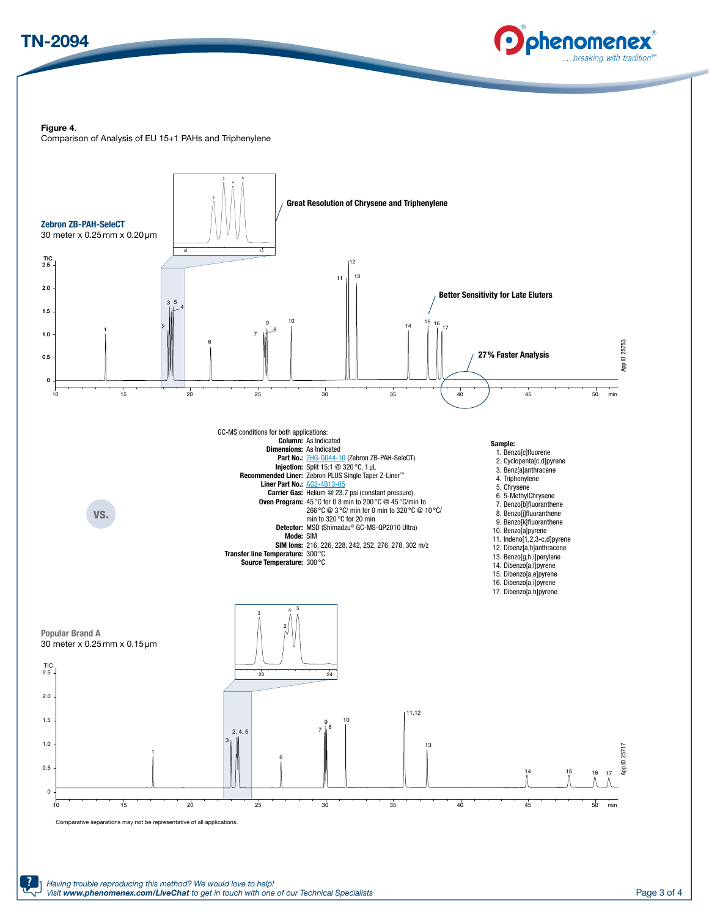



#### Figure 4.

Comparison of Analysis of EU 15+1 PAHs and Triphenylene